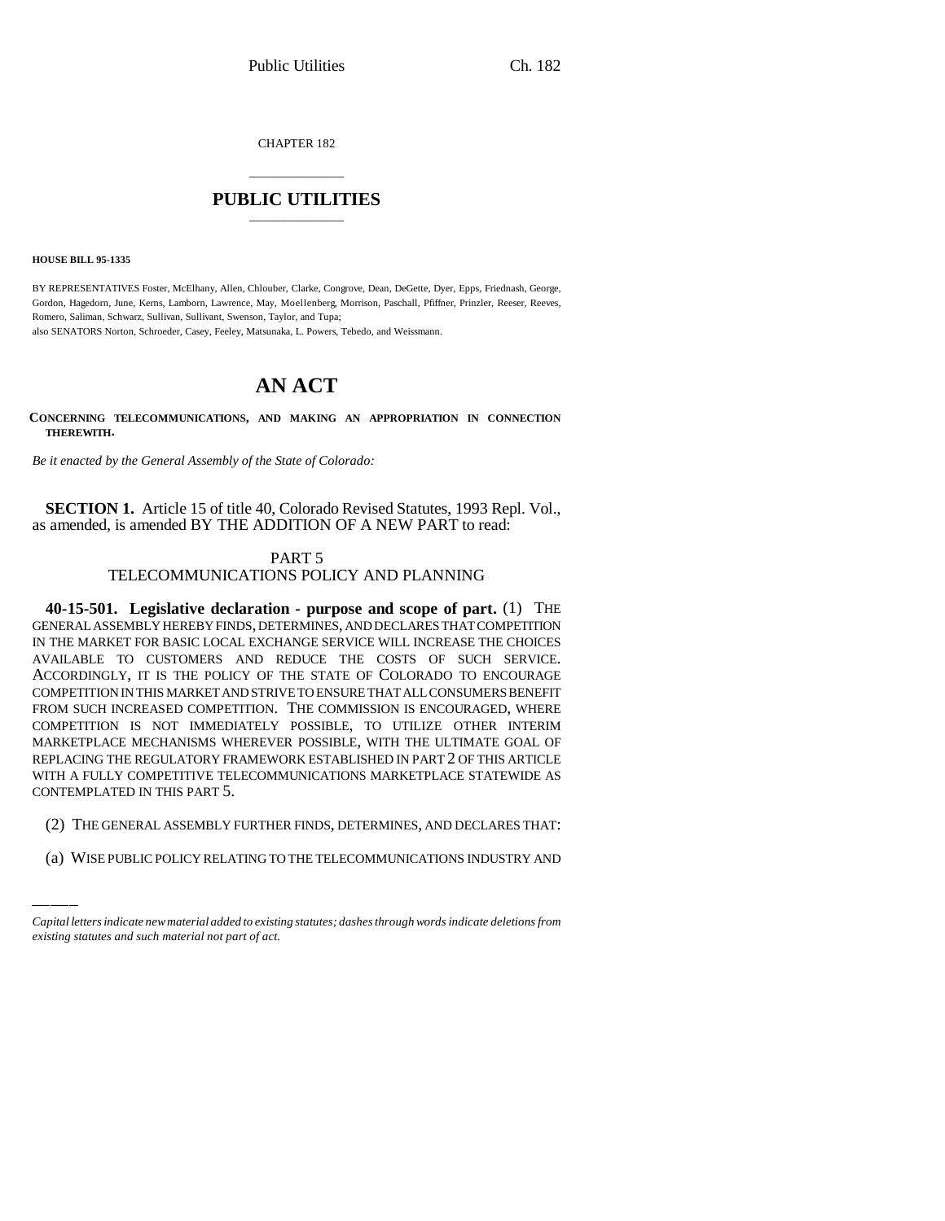CHAPTER 182

# \_\_\_\_\_\_\_\_\_\_\_\_\_\_\_ **PUBLIC UTILITIES** \_\_\_\_\_\_\_\_\_\_\_\_\_\_\_

**HOUSE BILL 95-1335**

BY REPRESENTATIVES Foster, McElhany, Allen, Chlouber, Clarke, Congrove, Dean, DeGette, Dyer, Epps, Friednash, George, Gordon, Hagedorn, June, Kerns, Lamborn, Lawrence, May, Moellenberg, Morrison, Paschall, Pfiffner, Prinzler, Reeser, Reeves, Romero, Saliman, Schwarz, Sullivan, Sullivant, Swenson, Taylor, and Tupa; also SENATORS Norton, Schroeder, Casey, Feeley, Matsunaka, L. Powers, Tebedo, and Weissmann.

**AN ACT**

**CONCERNING TELECOMMUNICATIONS, AND MAKING AN APPROPRIATION IN CONNECTION THEREWITH.**

*Be it enacted by the General Assembly of the State of Colorado:*

**SECTION 1.** Article 15 of title 40, Colorado Revised Statutes, 1993 Repl. Vol., as amended, is amended BY THE ADDITION OF A NEW PART to read:

### PART 5 TELECOMMUNICATIONS POLICY AND PLANNING

CONTEMPLATED IN THIS PART 5. **40-15-501. Legislative declaration - purpose and scope of part.** (1) THE GENERAL ASSEMBLY HEREBY FINDS, DETERMINES, AND DECLARES THAT COMPETITION IN THE MARKET FOR BASIC LOCAL EXCHANGE SERVICE WILL INCREASE THE CHOICES AVAILABLE TO CUSTOMERS AND REDUCE THE COSTS OF SUCH SERVICE. ACCORDINGLY, IT IS THE POLICY OF THE STATE OF COLORADO TO ENCOURAGE COMPETITION IN THIS MARKET AND STRIVE TO ENSURE THAT ALL CONSUMERS BENEFIT FROM SUCH INCREASED COMPETITION. THE COMMISSION IS ENCOURAGED, WHERE COMPETITION IS NOT IMMEDIATELY POSSIBLE, TO UTILIZE OTHER INTERIM MARKETPLACE MECHANISMS WHEREVER POSSIBLE, WITH THE ULTIMATE GOAL OF REPLACING THE REGULATORY FRAMEWORK ESTABLISHED IN PART 2 OF THIS ARTICLE WITH A FULLY COMPETITIVE TELECOMMUNICATIONS MARKETPLACE STATEWIDE AS

- (2) THE GENERAL ASSEMBLY FURTHER FINDS, DETERMINES, AND DECLARES THAT:
- (a) WISE PUBLIC POLICY RELATING TO THE TELECOMMUNICATIONS INDUSTRY AND

*Capital letters indicate new material added to existing statutes; dashes through words indicate deletions from existing statutes and such material not part of act.*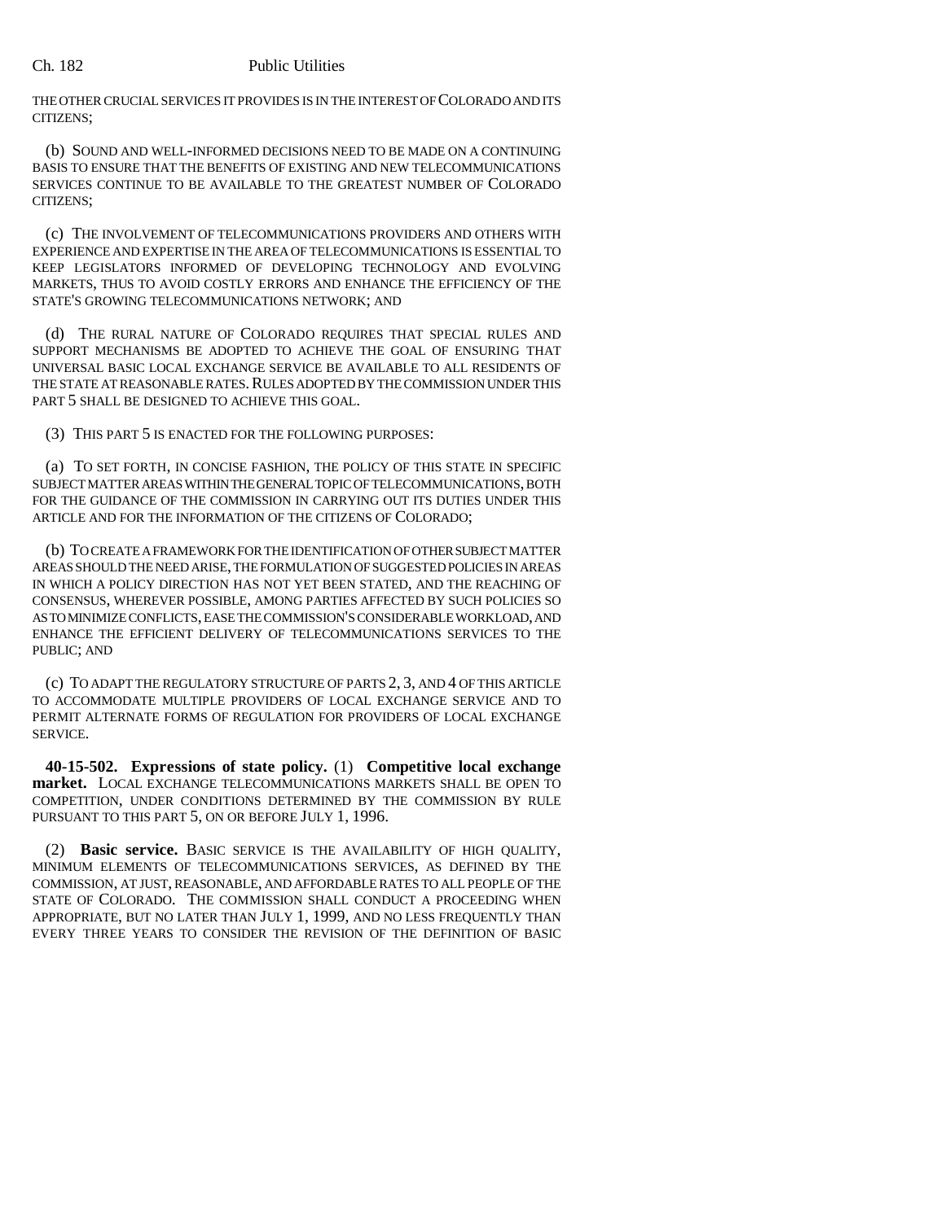THE OTHER CRUCIAL SERVICES IT PROVIDES IS IN THE INTEREST OF COLORADO AND ITS CITIZENS;

(b) SOUND AND WELL-INFORMED DECISIONS NEED TO BE MADE ON A CONTINUING BASIS TO ENSURE THAT THE BENEFITS OF EXISTING AND NEW TELECOMMUNICATIONS SERVICES CONTINUE TO BE AVAILABLE TO THE GREATEST NUMBER OF COLORADO CITIZENS;

(c) THE INVOLVEMENT OF TELECOMMUNICATIONS PROVIDERS AND OTHERS WITH EXPERIENCE AND EXPERTISE IN THE AREA OF TELECOMMUNICATIONS IS ESSENTIAL TO KEEP LEGISLATORS INFORMED OF DEVELOPING TECHNOLOGY AND EVOLVING MARKETS, THUS TO AVOID COSTLY ERRORS AND ENHANCE THE EFFICIENCY OF THE STATE'S GROWING TELECOMMUNICATIONS NETWORK; AND

(d) THE RURAL NATURE OF COLORADO REQUIRES THAT SPECIAL RULES AND SUPPORT MECHANISMS BE ADOPTED TO ACHIEVE THE GOAL OF ENSURING THAT UNIVERSAL BASIC LOCAL EXCHANGE SERVICE BE AVAILABLE TO ALL RESIDENTS OF THE STATE AT REASONABLE RATES. RULES ADOPTED BY THE COMMISSION UNDER THIS PART 5 SHALL BE DESIGNED TO ACHIEVE THIS GOAL.

(3) THIS PART 5 IS ENACTED FOR THE FOLLOWING PURPOSES:

(a) TO SET FORTH, IN CONCISE FASHION, THE POLICY OF THIS STATE IN SPECIFIC SUBJECT MATTER AREAS WITHIN THE GENERAL TOPIC OF TELECOMMUNICATIONS, BOTH FOR THE GUIDANCE OF THE COMMISSION IN CARRYING OUT ITS DUTIES UNDER THIS ARTICLE AND FOR THE INFORMATION OF THE CITIZENS OF COLORADO;

(b) TO CREATE A FRAMEWORK FOR THE IDENTIFICATION OF OTHER SUBJECT MATTER AREAS SHOULD THE NEED ARISE, THE FORMULATION OF SUGGESTED POLICIES IN AREAS IN WHICH A POLICY DIRECTION HAS NOT YET BEEN STATED, AND THE REACHING OF CONSENSUS, WHEREVER POSSIBLE, AMONG PARTIES AFFECTED BY SUCH POLICIES SO AS TO MINIMIZE CONFLICTS, EASE THE COMMISSION'S CONSIDERABLE WORKLOAD, AND ENHANCE THE EFFICIENT DELIVERY OF TELECOMMUNICATIONS SERVICES TO THE PUBLIC; AND

(c) TO ADAPT THE REGULATORY STRUCTURE OF PARTS 2, 3, AND 4 OF THIS ARTICLE TO ACCOMMODATE MULTIPLE PROVIDERS OF LOCAL EXCHANGE SERVICE AND TO PERMIT ALTERNATE FORMS OF REGULATION FOR PROVIDERS OF LOCAL EXCHANGE SERVICE.

**40-15-502. Expressions of state policy.** (1) **Competitive local exchange market.** LOCAL EXCHANGE TELECOMMUNICATIONS MARKETS SHALL BE OPEN TO COMPETITION, UNDER CONDITIONS DETERMINED BY THE COMMISSION BY RULE PURSUANT TO THIS PART 5, ON OR BEFORE JULY 1, 1996.

(2) **Basic service.** BASIC SERVICE IS THE AVAILABILITY OF HIGH QUALITY, MINIMUM ELEMENTS OF TELECOMMUNICATIONS SERVICES, AS DEFINED BY THE COMMISSION, AT JUST, REASONABLE, AND AFFORDABLE RATES TO ALL PEOPLE OF THE STATE OF COLORADO. THE COMMISSION SHALL CONDUCT A PROCEEDING WHEN APPROPRIATE, BUT NO LATER THAN JULY 1, 1999, AND NO LESS FREQUENTLY THAN EVERY THREE YEARS TO CONSIDER THE REVISION OF THE DEFINITION OF BASIC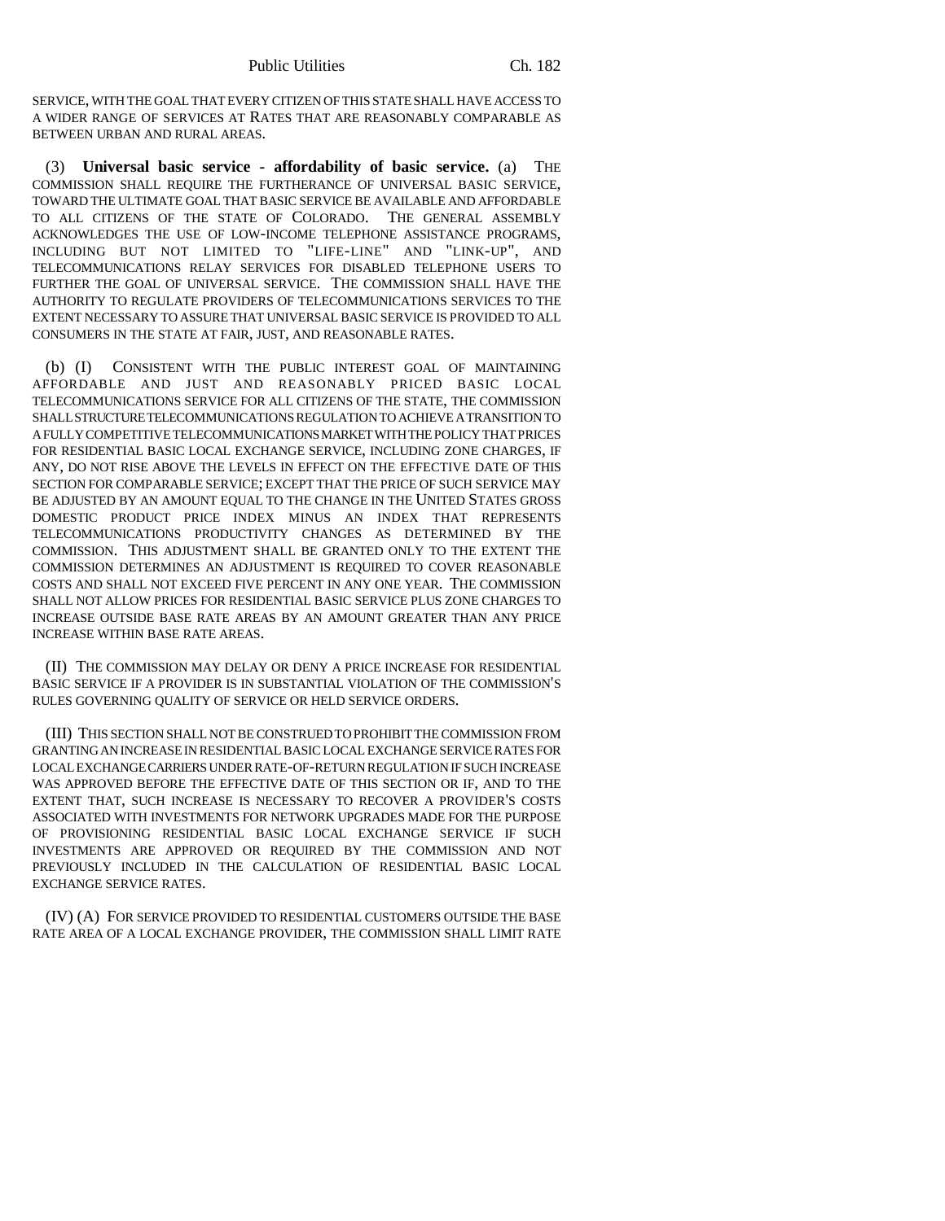SERVICE, WITH THE GOAL THAT EVERY CITIZEN OF THIS STATE SHALL HAVE ACCESS TO A WIDER RANGE OF SERVICES AT RATES THAT ARE REASONABLY COMPARABLE AS BETWEEN URBAN AND RURAL AREAS.

(3) **Universal basic service - affordability of basic service.** (a) THE COMMISSION SHALL REQUIRE THE FURTHERANCE OF UNIVERSAL BASIC SERVICE, TOWARD THE ULTIMATE GOAL THAT BASIC SERVICE BE AVAILABLE AND AFFORDABLE TO ALL CITIZENS OF THE STATE OF COLORADO. THE GENERAL ASSEMBLY ACKNOWLEDGES THE USE OF LOW-INCOME TELEPHONE ASSISTANCE PROGRAMS, INCLUDING BUT NOT LIMITED TO "LIFE-LINE" AND "LINK-UP", AND TELECOMMUNICATIONS RELAY SERVICES FOR DISABLED TELEPHONE USERS TO FURTHER THE GOAL OF UNIVERSAL SERVICE. THE COMMISSION SHALL HAVE THE AUTHORITY TO REGULATE PROVIDERS OF TELECOMMUNICATIONS SERVICES TO THE EXTENT NECESSARY TO ASSURE THAT UNIVERSAL BASIC SERVICE IS PROVIDED TO ALL CONSUMERS IN THE STATE AT FAIR, JUST, AND REASONABLE RATES.

(b) (I) CONSISTENT WITH THE PUBLIC INTEREST GOAL OF MAINTAINING AFFORDABLE AND JUST AND REASONABLY PRICED BASIC LOCAL TELECOMMUNICATIONS SERVICE FOR ALL CITIZENS OF THE STATE, THE COMMISSION SHALL STRUCTURE TELECOMMUNICATIONS REGULATION TO ACHIEVE A TRANSITION TO A FULLY COMPETITIVE TELECOMMUNICATIONS MARKET WITH THE POLICY THAT PRICES FOR RESIDENTIAL BASIC LOCAL EXCHANGE SERVICE, INCLUDING ZONE CHARGES, IF ANY, DO NOT RISE ABOVE THE LEVELS IN EFFECT ON THE EFFECTIVE DATE OF THIS SECTION FOR COMPARABLE SERVICE; EXCEPT THAT THE PRICE OF SUCH SERVICE MAY BE ADJUSTED BY AN AMOUNT EQUAL TO THE CHANGE IN THE UNITED STATES GROSS DOMESTIC PRODUCT PRICE INDEX MINUS AN INDEX THAT REPRESENTS TELECOMMUNICATIONS PRODUCTIVITY CHANGES AS DETERMINED BY THE COMMISSION. THIS ADJUSTMENT SHALL BE GRANTED ONLY TO THE EXTENT THE COMMISSION DETERMINES AN ADJUSTMENT IS REQUIRED TO COVER REASONABLE COSTS AND SHALL NOT EXCEED FIVE PERCENT IN ANY ONE YEAR. THE COMMISSION SHALL NOT ALLOW PRICES FOR RESIDENTIAL BASIC SERVICE PLUS ZONE CHARGES TO INCREASE OUTSIDE BASE RATE AREAS BY AN AMOUNT GREATER THAN ANY PRICE INCREASE WITHIN BASE RATE AREAS.

(II) THE COMMISSION MAY DELAY OR DENY A PRICE INCREASE FOR RESIDENTIAL BASIC SERVICE IF A PROVIDER IS IN SUBSTANTIAL VIOLATION OF THE COMMISSION'S RULES GOVERNING QUALITY OF SERVICE OR HELD SERVICE ORDERS.

(III) THIS SECTION SHALL NOT BE CONSTRUED TO PROHIBIT THE COMMISSION FROM GRANTING AN INCREASE IN RESIDENTIAL BASIC LOCAL EXCHANGE SERVICE RATES FOR LOCAL EXCHANGE CARRIERS UNDER RATE-OF-RETURN REGULATION IF SUCH INCREASE WAS APPROVED BEFORE THE EFFECTIVE DATE OF THIS SECTION OR IF, AND TO THE EXTENT THAT, SUCH INCREASE IS NECESSARY TO RECOVER A PROVIDER'S COSTS ASSOCIATED WITH INVESTMENTS FOR NETWORK UPGRADES MADE FOR THE PURPOSE OF PROVISIONING RESIDENTIAL BASIC LOCAL EXCHANGE SERVICE IF SUCH INVESTMENTS ARE APPROVED OR REQUIRED BY THE COMMISSION AND NOT PREVIOUSLY INCLUDED IN THE CALCULATION OF RESIDENTIAL BASIC LOCAL EXCHANGE SERVICE RATES.

(IV) (A) FOR SERVICE PROVIDED TO RESIDENTIAL CUSTOMERS OUTSIDE THE BASE RATE AREA OF A LOCAL EXCHANGE PROVIDER, THE COMMISSION SHALL LIMIT RATE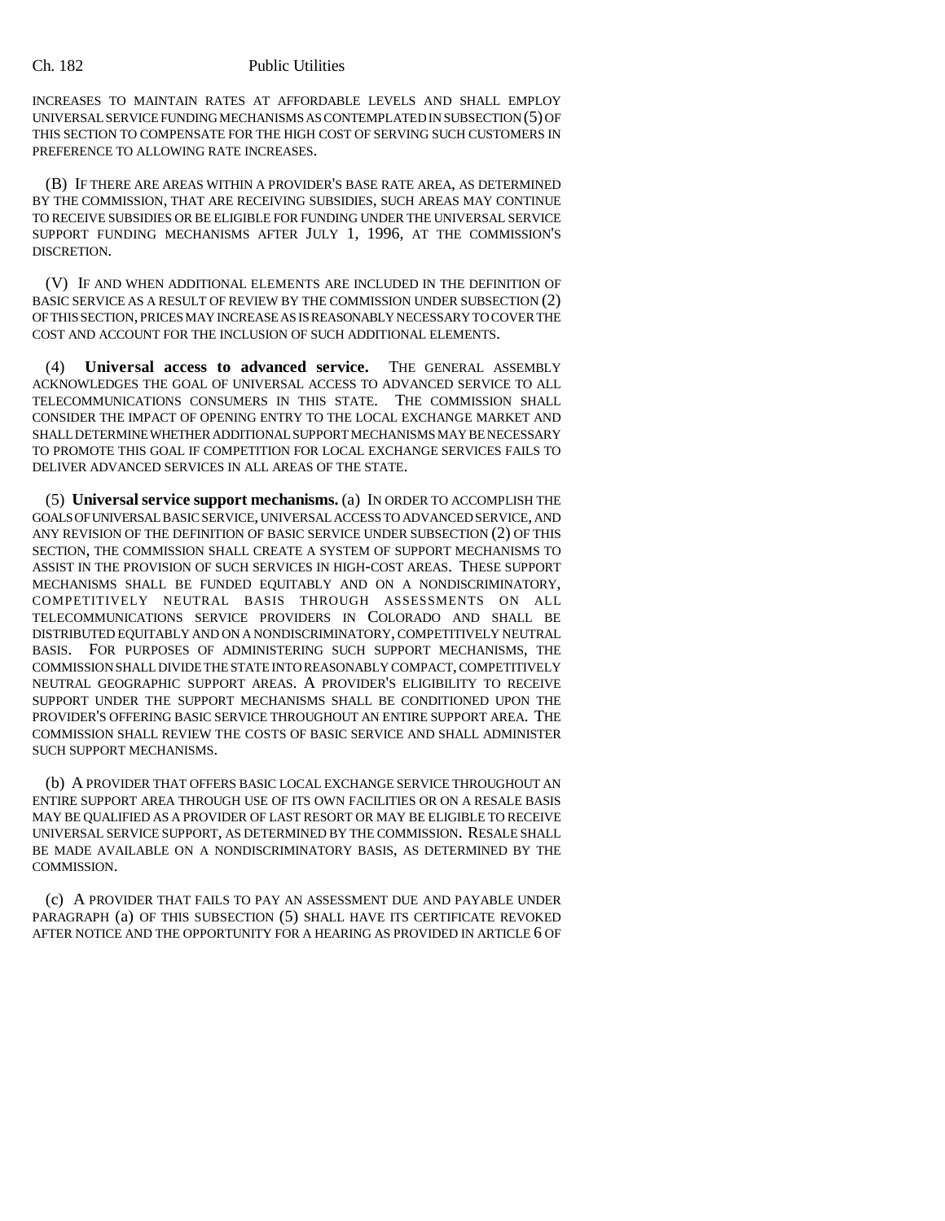INCREASES TO MAINTAIN RATES AT AFFORDABLE LEVELS AND SHALL EMPLOY UNIVERSAL SERVICE FUNDING MECHANISMS AS CONTEMPLATED IN SUBSECTION (5) OF THIS SECTION TO COMPENSATE FOR THE HIGH COST OF SERVING SUCH CUSTOMERS IN PREFERENCE TO ALLOWING RATE INCREASES.

(B) IF THERE ARE AREAS WITHIN A PROVIDER'S BASE RATE AREA, AS DETERMINED BY THE COMMISSION, THAT ARE RECEIVING SUBSIDIES, SUCH AREAS MAY CONTINUE TO RECEIVE SUBSIDIES OR BE ELIGIBLE FOR FUNDING UNDER THE UNIVERSAL SERVICE SUPPORT FUNDING MECHANISMS AFTER JULY 1, 1996, AT THE COMMISSION'S DISCRETION.

(V) IF AND WHEN ADDITIONAL ELEMENTS ARE INCLUDED IN THE DEFINITION OF BASIC SERVICE AS A RESULT OF REVIEW BY THE COMMISSION UNDER SUBSECTION (2) OF THIS SECTION, PRICES MAY INCREASE AS IS REASONABLY NECESSARY TO COVER THE COST AND ACCOUNT FOR THE INCLUSION OF SUCH ADDITIONAL ELEMENTS.

(4) **Universal access to advanced service.** THE GENERAL ASSEMBLY ACKNOWLEDGES THE GOAL OF UNIVERSAL ACCESS TO ADVANCED SERVICE TO ALL TELECOMMUNICATIONS CONSUMERS IN THIS STATE. THE COMMISSION SHALL CONSIDER THE IMPACT OF OPENING ENTRY TO THE LOCAL EXCHANGE MARKET AND SHALL DETERMINE WHETHER ADDITIONAL SUPPORT MECHANISMS MAY BE NECESSARY TO PROMOTE THIS GOAL IF COMPETITION FOR LOCAL EXCHANGE SERVICES FAILS TO DELIVER ADVANCED SERVICES IN ALL AREAS OF THE STATE.

(5) **Universal service support mechanisms.** (a) IN ORDER TO ACCOMPLISH THE GOALS OF UNIVERSAL BASIC SERVICE, UNIVERSAL ACCESS TO ADVANCED SERVICE, AND ANY REVISION OF THE DEFINITION OF BASIC SERVICE UNDER SUBSECTION (2) OF THIS SECTION, THE COMMISSION SHALL CREATE A SYSTEM OF SUPPORT MECHANISMS TO ASSIST IN THE PROVISION OF SUCH SERVICES IN HIGH-COST AREAS. THESE SUPPORT MECHANISMS SHALL BE FUNDED EQUITABLY AND ON A NONDISCRIMINATORY, COMPETITIVELY NEUTRAL BASIS THROUGH ASSESSMENTS ON ALL TELECOMMUNICATIONS SERVICE PROVIDERS IN COLORADO AND SHALL BE DISTRIBUTED EQUITABLY AND ON A NONDISCRIMINATORY, COMPETITIVELY NEUTRAL BASIS. FOR PURPOSES OF ADMINISTERING SUCH SUPPORT MECHANISMS, THE COMMISSION SHALL DIVIDE THE STATE INTO REASONABLY COMPACT, COMPETITIVELY NEUTRAL GEOGRAPHIC SUPPORT AREAS. A PROVIDER'S ELIGIBILITY TO RECEIVE SUPPORT UNDER THE SUPPORT MECHANISMS SHALL BE CONDITIONED UPON THE PROVIDER'S OFFERING BASIC SERVICE THROUGHOUT AN ENTIRE SUPPORT AREA. THE COMMISSION SHALL REVIEW THE COSTS OF BASIC SERVICE AND SHALL ADMINISTER SUCH SUPPORT MECHANISMS.

(b) A PROVIDER THAT OFFERS BASIC LOCAL EXCHANGE SERVICE THROUGHOUT AN ENTIRE SUPPORT AREA THROUGH USE OF ITS OWN FACILITIES OR ON A RESALE BASIS MAY BE QUALIFIED AS A PROVIDER OF LAST RESORT OR MAY BE ELIGIBLE TO RECEIVE UNIVERSAL SERVICE SUPPORT, AS DETERMINED BY THE COMMISSION. RESALE SHALL BE MADE AVAILABLE ON A NONDISCRIMINATORY BASIS, AS DETERMINED BY THE COMMISSION.

(c) A PROVIDER THAT FAILS TO PAY AN ASSESSMENT DUE AND PAYABLE UNDER PARAGRAPH (a) OF THIS SUBSECTION (5) SHALL HAVE ITS CERTIFICATE REVOKED AFTER NOTICE AND THE OPPORTUNITY FOR A HEARING AS PROVIDED IN ARTICLE 6 OF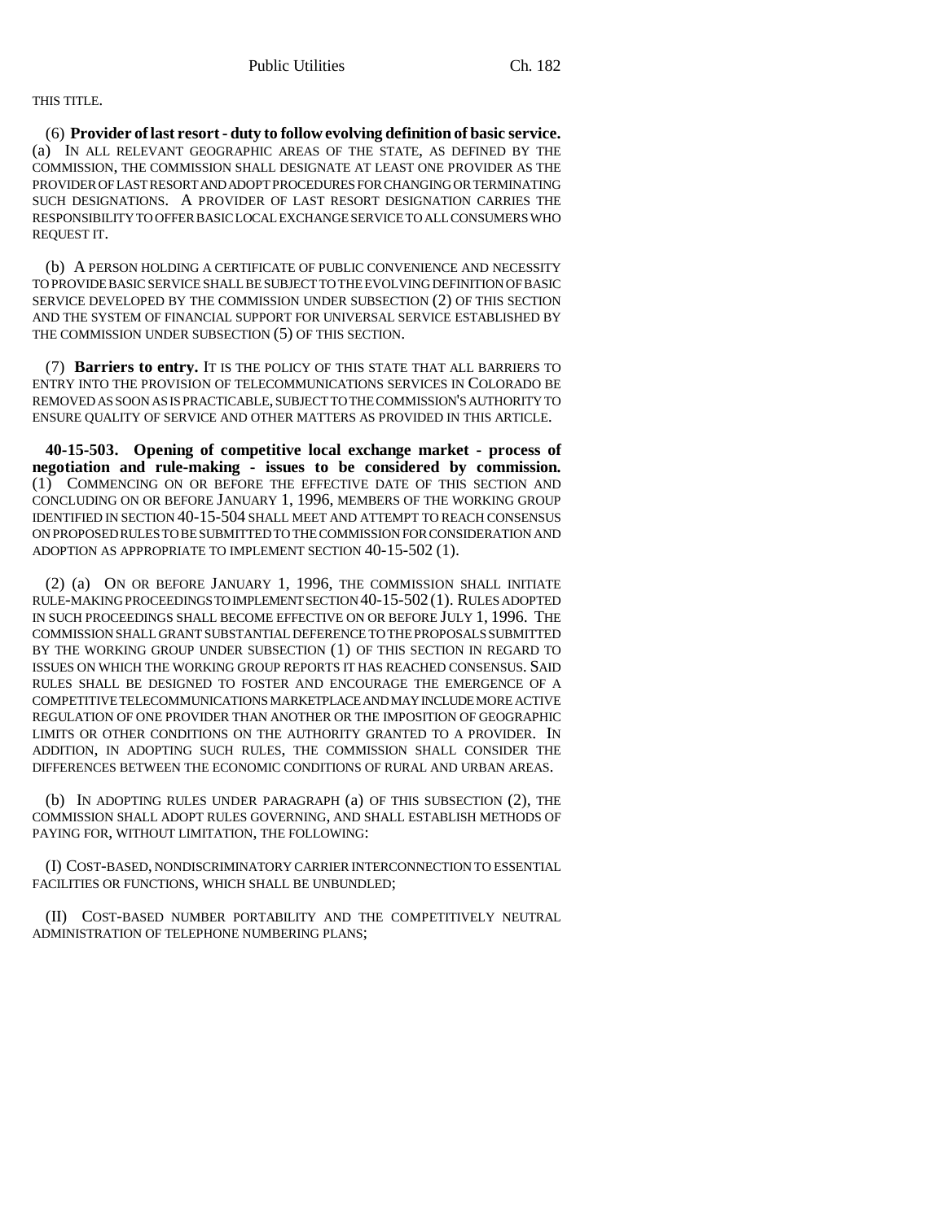## THIS TITLE.

(6) **Provider of last resort - duty to follow evolving definition of basic service.** (a) IN ALL RELEVANT GEOGRAPHIC AREAS OF THE STATE, AS DEFINED BY THE COMMISSION, THE COMMISSION SHALL DESIGNATE AT LEAST ONE PROVIDER AS THE PROVIDER OF LAST RESORT AND ADOPT PROCEDURES FOR CHANGING OR TERMINATING SUCH DESIGNATIONS. A PROVIDER OF LAST RESORT DESIGNATION CARRIES THE RESPONSIBILITY TO OFFER BASIC LOCAL EXCHANGE SERVICE TO ALL CONSUMERS WHO REQUEST IT.

(b) A PERSON HOLDING A CERTIFICATE OF PUBLIC CONVENIENCE AND NECESSITY TO PROVIDE BASIC SERVICE SHALL BE SUBJECT TO THE EVOLVING DEFINITION OF BASIC SERVICE DEVELOPED BY THE COMMISSION UNDER SUBSECTION (2) OF THIS SECTION AND THE SYSTEM OF FINANCIAL SUPPORT FOR UNIVERSAL SERVICE ESTABLISHED BY THE COMMISSION UNDER SUBSECTION (5) OF THIS SECTION.

(7) **Barriers to entry.** IT IS THE POLICY OF THIS STATE THAT ALL BARRIERS TO ENTRY INTO THE PROVISION OF TELECOMMUNICATIONS SERVICES IN COLORADO BE REMOVED AS SOON AS IS PRACTICABLE, SUBJECT TO THE COMMISSION'S AUTHORITY TO ENSURE QUALITY OF SERVICE AND OTHER MATTERS AS PROVIDED IN THIS ARTICLE.

**40-15-503. Opening of competitive local exchange market - process of negotiation and rule-making - issues to be considered by commission.** (1) COMMENCING ON OR BEFORE THE EFFECTIVE DATE OF THIS SECTION AND CONCLUDING ON OR BEFORE JANUARY 1, 1996, MEMBERS OF THE WORKING GROUP IDENTIFIED IN SECTION 40-15-504 SHALL MEET AND ATTEMPT TO REACH CONSENSUS ON PROPOSED RULES TO BE SUBMITTED TO THE COMMISSION FOR CONSIDERATION AND ADOPTION AS APPROPRIATE TO IMPLEMENT SECTION 40-15-502 (1).

(2) (a) ON OR BEFORE JANUARY 1, 1996, THE COMMISSION SHALL INITIATE RULE-MAKING PROCEEDINGS TO IMPLEMENT SECTION 40-15-502(1). RULES ADOPTED IN SUCH PROCEEDINGS SHALL BECOME EFFECTIVE ON OR BEFORE JULY 1, 1996. THE COMMISSION SHALL GRANT SUBSTANTIAL DEFERENCE TO THE PROPOSALS SUBMITTED BY THE WORKING GROUP UNDER SUBSECTION (1) OF THIS SECTION IN REGARD TO ISSUES ON WHICH THE WORKING GROUP REPORTS IT HAS REACHED CONSENSUS. SAID RULES SHALL BE DESIGNED TO FOSTER AND ENCOURAGE THE EMERGENCE OF A COMPETITIVE TELECOMMUNICATIONS MARKETPLACE AND MAY INCLUDE MORE ACTIVE REGULATION OF ONE PROVIDER THAN ANOTHER OR THE IMPOSITION OF GEOGRAPHIC LIMITS OR OTHER CONDITIONS ON THE AUTHORITY GRANTED TO A PROVIDER. IN ADDITION, IN ADOPTING SUCH RULES, THE COMMISSION SHALL CONSIDER THE DIFFERENCES BETWEEN THE ECONOMIC CONDITIONS OF RURAL AND URBAN AREAS.

(b) IN ADOPTING RULES UNDER PARAGRAPH (a) OF THIS SUBSECTION (2), THE COMMISSION SHALL ADOPT RULES GOVERNING, AND SHALL ESTABLISH METHODS OF PAYING FOR, WITHOUT LIMITATION, THE FOLLOWING:

(I) COST-BASED, NONDISCRIMINATORY CARRIER INTERCONNECTION TO ESSENTIAL FACILITIES OR FUNCTIONS, WHICH SHALL BE UNBUNDLED;

(II) COST-BASED NUMBER PORTABILITY AND THE COMPETITIVELY NEUTRAL ADMINISTRATION OF TELEPHONE NUMBERING PLANS;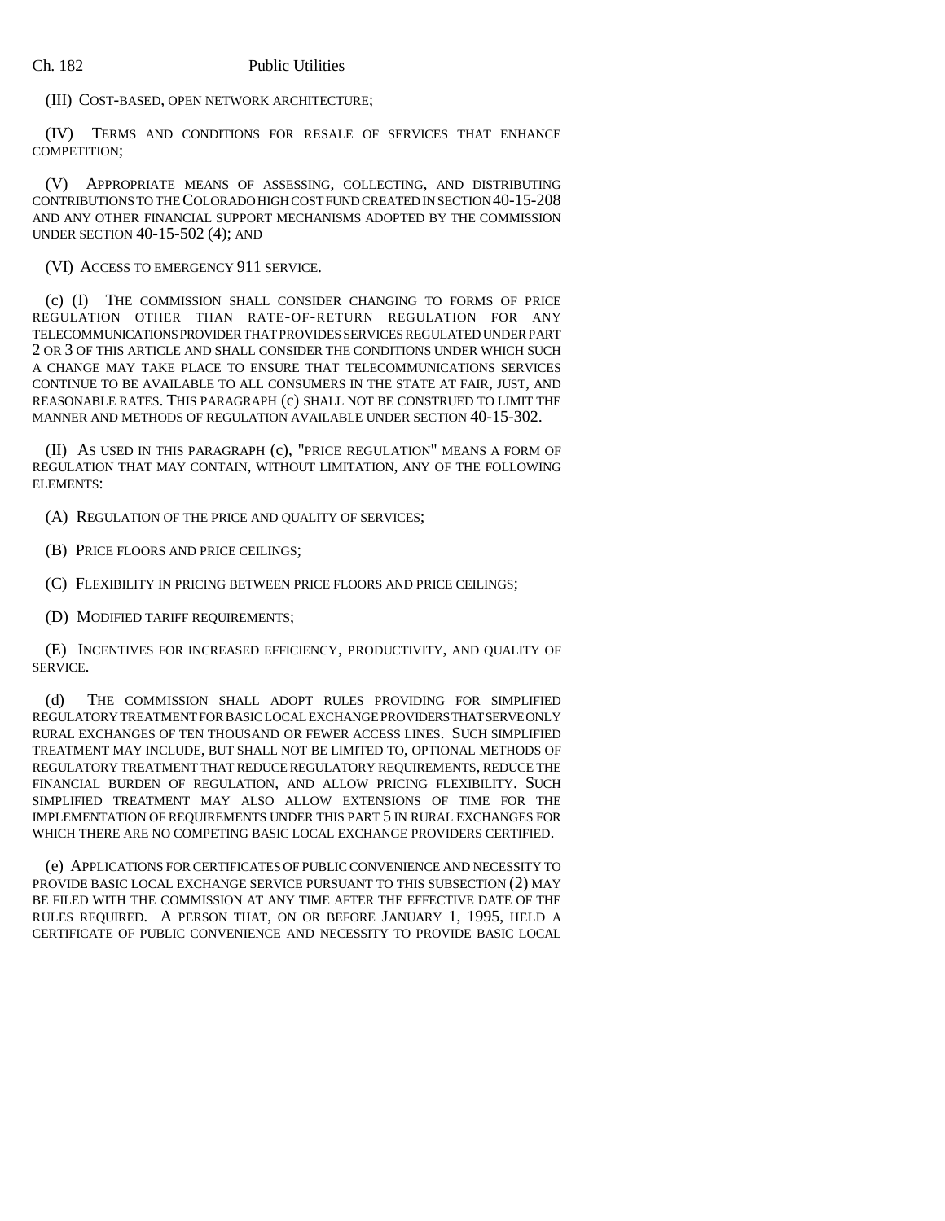(III) COST-BASED, OPEN NETWORK ARCHITECTURE;

(IV) TERMS AND CONDITIONS FOR RESALE OF SERVICES THAT ENHANCE COMPETITION;

(V) APPROPRIATE MEANS OF ASSESSING, COLLECTING, AND DISTRIBUTING CONTRIBUTIONS TO THE COLORADO HIGH COST FUND CREATED IN SECTION 40-15-208 AND ANY OTHER FINANCIAL SUPPORT MECHANISMS ADOPTED BY THE COMMISSION UNDER SECTION 40-15-502 (4); AND

(VI) ACCESS TO EMERGENCY 911 SERVICE.

(c) (I) THE COMMISSION SHALL CONSIDER CHANGING TO FORMS OF PRICE REGULATION OTHER THAN RATE-OF-RETURN REGULATION FOR ANY TELECOMMUNICATIONS PROVIDER THAT PROVIDES SERVICES REGULATED UNDER PART 2 OR 3 OF THIS ARTICLE AND SHALL CONSIDER THE CONDITIONS UNDER WHICH SUCH A CHANGE MAY TAKE PLACE TO ENSURE THAT TELECOMMUNICATIONS SERVICES CONTINUE TO BE AVAILABLE TO ALL CONSUMERS IN THE STATE AT FAIR, JUST, AND REASONABLE RATES. THIS PARAGRAPH (c) SHALL NOT BE CONSTRUED TO LIMIT THE MANNER AND METHODS OF REGULATION AVAILABLE UNDER SECTION 40-15-302.

(II) AS USED IN THIS PARAGRAPH (c), "PRICE REGULATION" MEANS A FORM OF REGULATION THAT MAY CONTAIN, WITHOUT LIMITATION, ANY OF THE FOLLOWING ELEMENTS:

(A) REGULATION OF THE PRICE AND QUALITY OF SERVICES;

(B) PRICE FLOORS AND PRICE CEILINGS;

(C) FLEXIBILITY IN PRICING BETWEEN PRICE FLOORS AND PRICE CEILINGS;

(D) MODIFIED TARIFF REQUIREMENTS;

(E) INCENTIVES FOR INCREASED EFFICIENCY, PRODUCTIVITY, AND QUALITY OF SERVICE.

(d) THE COMMISSION SHALL ADOPT RULES PROVIDING FOR SIMPLIFIED REGULATORY TREATMENT FOR BASIC LOCAL EXCHANGE PROVIDERS THAT SERVE ONLY RURAL EXCHANGES OF TEN THOUSAND OR FEWER ACCESS LINES. SUCH SIMPLIFIED TREATMENT MAY INCLUDE, BUT SHALL NOT BE LIMITED TO, OPTIONAL METHODS OF REGULATORY TREATMENT THAT REDUCE REGULATORY REQUIREMENTS, REDUCE THE FINANCIAL BURDEN OF REGULATION, AND ALLOW PRICING FLEXIBILITY. SUCH SIMPLIFIED TREATMENT MAY ALSO ALLOW EXTENSIONS OF TIME FOR THE IMPLEMENTATION OF REQUIREMENTS UNDER THIS PART 5 IN RURAL EXCHANGES FOR WHICH THERE ARE NO COMPETING BASIC LOCAL EXCHANGE PROVIDERS CERTIFIED.

(e) APPLICATIONS FOR CERTIFICATES OF PUBLIC CONVENIENCE AND NECESSITY TO PROVIDE BASIC LOCAL EXCHANGE SERVICE PURSUANT TO THIS SUBSECTION (2) MAY BE FILED WITH THE COMMISSION AT ANY TIME AFTER THE EFFECTIVE DATE OF THE RULES REQUIRED. A PERSON THAT, ON OR BEFORE JANUARY 1, 1995, HELD A CERTIFICATE OF PUBLIC CONVENIENCE AND NECESSITY TO PROVIDE BASIC LOCAL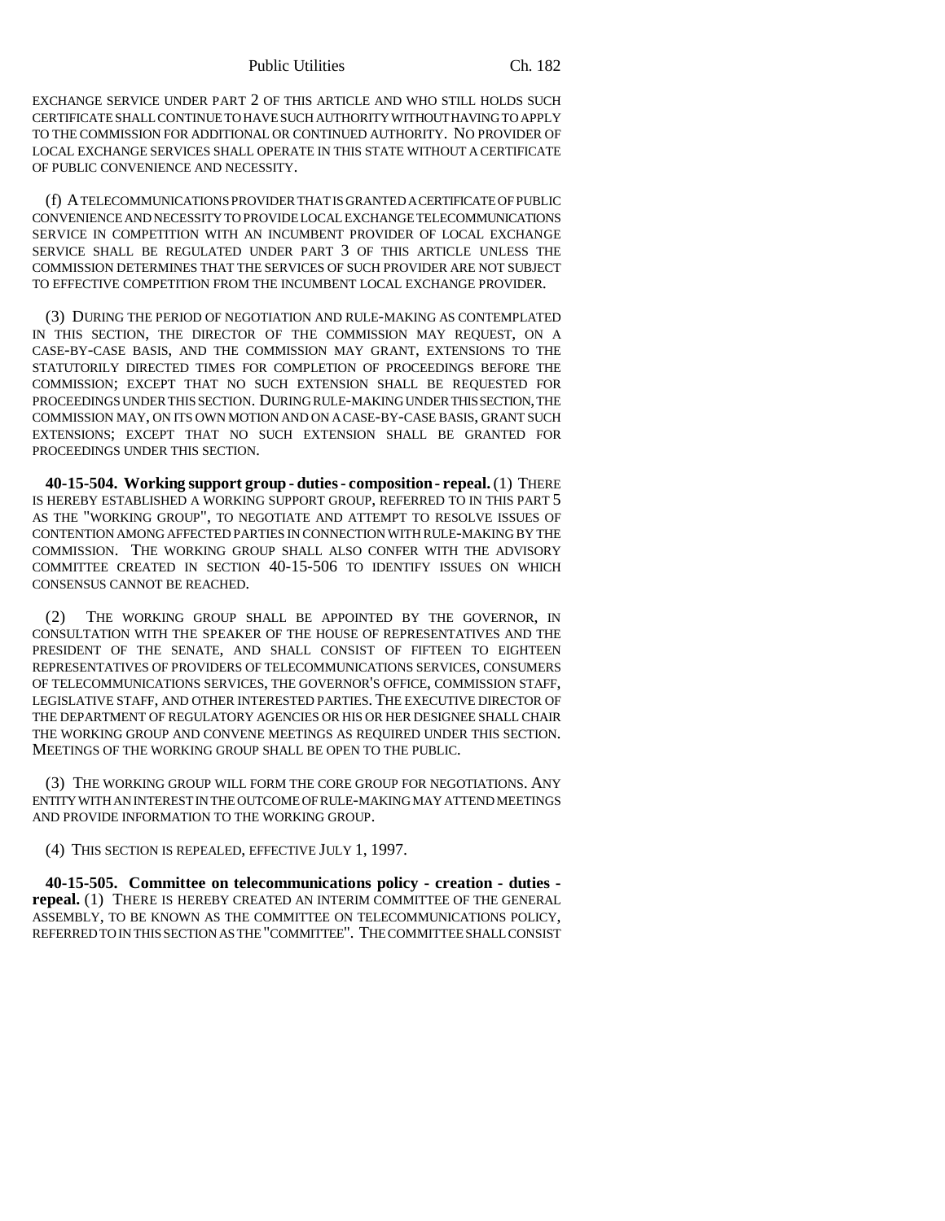Public Utilities Ch. 182

EXCHANGE SERVICE UNDER PART 2 OF THIS ARTICLE AND WHO STILL HOLDS SUCH CERTIFICATE SHALL CONTINUE TO HAVE SUCH AUTHORITY WITHOUT HAVING TO APPLY TO THE COMMISSION FOR ADDITIONAL OR CONTINUED AUTHORITY. NO PROVIDER OF LOCAL EXCHANGE SERVICES SHALL OPERATE IN THIS STATE WITHOUT A CERTIFICATE OF PUBLIC CONVENIENCE AND NECESSITY.

(f) A TELECOMMUNICATIONS PROVIDER THAT IS GRANTED A CERTIFICATE OF PUBLIC CONVENIENCE AND NECESSITY TO PROVIDE LOCAL EXCHANGE TELECOMMUNICATIONS SERVICE IN COMPETITION WITH AN INCUMBENT PROVIDER OF LOCAL EXCHANGE SERVICE SHALL BE REGULATED UNDER PART 3 OF THIS ARTICLE UNLESS THE COMMISSION DETERMINES THAT THE SERVICES OF SUCH PROVIDER ARE NOT SUBJECT TO EFFECTIVE COMPETITION FROM THE INCUMBENT LOCAL EXCHANGE PROVIDER.

(3) DURING THE PERIOD OF NEGOTIATION AND RULE-MAKING AS CONTEMPLATED IN THIS SECTION, THE DIRECTOR OF THE COMMISSION MAY REQUEST, ON A CASE-BY-CASE BASIS, AND THE COMMISSION MAY GRANT, EXTENSIONS TO THE STATUTORILY DIRECTED TIMES FOR COMPLETION OF PROCEEDINGS BEFORE THE COMMISSION; EXCEPT THAT NO SUCH EXTENSION SHALL BE REQUESTED FOR PROCEEDINGS UNDER THIS SECTION. DURING RULE-MAKING UNDER THIS SECTION, THE COMMISSION MAY, ON ITS OWN MOTION AND ON A CASE-BY-CASE BASIS, GRANT SUCH EXTENSIONS; EXCEPT THAT NO SUCH EXTENSION SHALL BE GRANTED FOR PROCEEDINGS UNDER THIS SECTION.

**40-15-504. Working support group - duties - composition - repeal.** (1) THERE IS HEREBY ESTABLISHED A WORKING SUPPORT GROUP, REFERRED TO IN THIS PART 5 AS THE "WORKING GROUP", TO NEGOTIATE AND ATTEMPT TO RESOLVE ISSUES OF CONTENTION AMONG AFFECTED PARTIES IN CONNECTION WITH RULE-MAKING BY THE COMMISSION. THE WORKING GROUP SHALL ALSO CONFER WITH THE ADVISORY COMMITTEE CREATED IN SECTION 40-15-506 TO IDENTIFY ISSUES ON WHICH CONSENSUS CANNOT BE REACHED.

(2) THE WORKING GROUP SHALL BE APPOINTED BY THE GOVERNOR, IN CONSULTATION WITH THE SPEAKER OF THE HOUSE OF REPRESENTATIVES AND THE PRESIDENT OF THE SENATE, AND SHALL CONSIST OF FIFTEEN TO EIGHTEEN REPRESENTATIVES OF PROVIDERS OF TELECOMMUNICATIONS SERVICES, CONSUMERS OF TELECOMMUNICATIONS SERVICES, THE GOVERNOR'S OFFICE, COMMISSION STAFF, LEGISLATIVE STAFF, AND OTHER INTERESTED PARTIES. THE EXECUTIVE DIRECTOR OF THE DEPARTMENT OF REGULATORY AGENCIES OR HIS OR HER DESIGNEE SHALL CHAIR THE WORKING GROUP AND CONVENE MEETINGS AS REQUIRED UNDER THIS SECTION. MEETINGS OF THE WORKING GROUP SHALL BE OPEN TO THE PUBLIC.

(3) THE WORKING GROUP WILL FORM THE CORE GROUP FOR NEGOTIATIONS. ANY ENTITY WITH AN INTEREST IN THE OUTCOME OF RULE-MAKING MAY ATTEND MEETINGS AND PROVIDE INFORMATION TO THE WORKING GROUP.

(4) THIS SECTION IS REPEALED, EFFECTIVE JULY 1, 1997.

**40-15-505. Committee on telecommunications policy - creation - duties repeal.** (1) THERE IS HEREBY CREATED AN INTERIM COMMITTEE OF THE GENERAL ASSEMBLY, TO BE KNOWN AS THE COMMITTEE ON TELECOMMUNICATIONS POLICY, REFERRED TO IN THIS SECTION AS THE "COMMITTEE". THE COMMITTEE SHALL CONSIST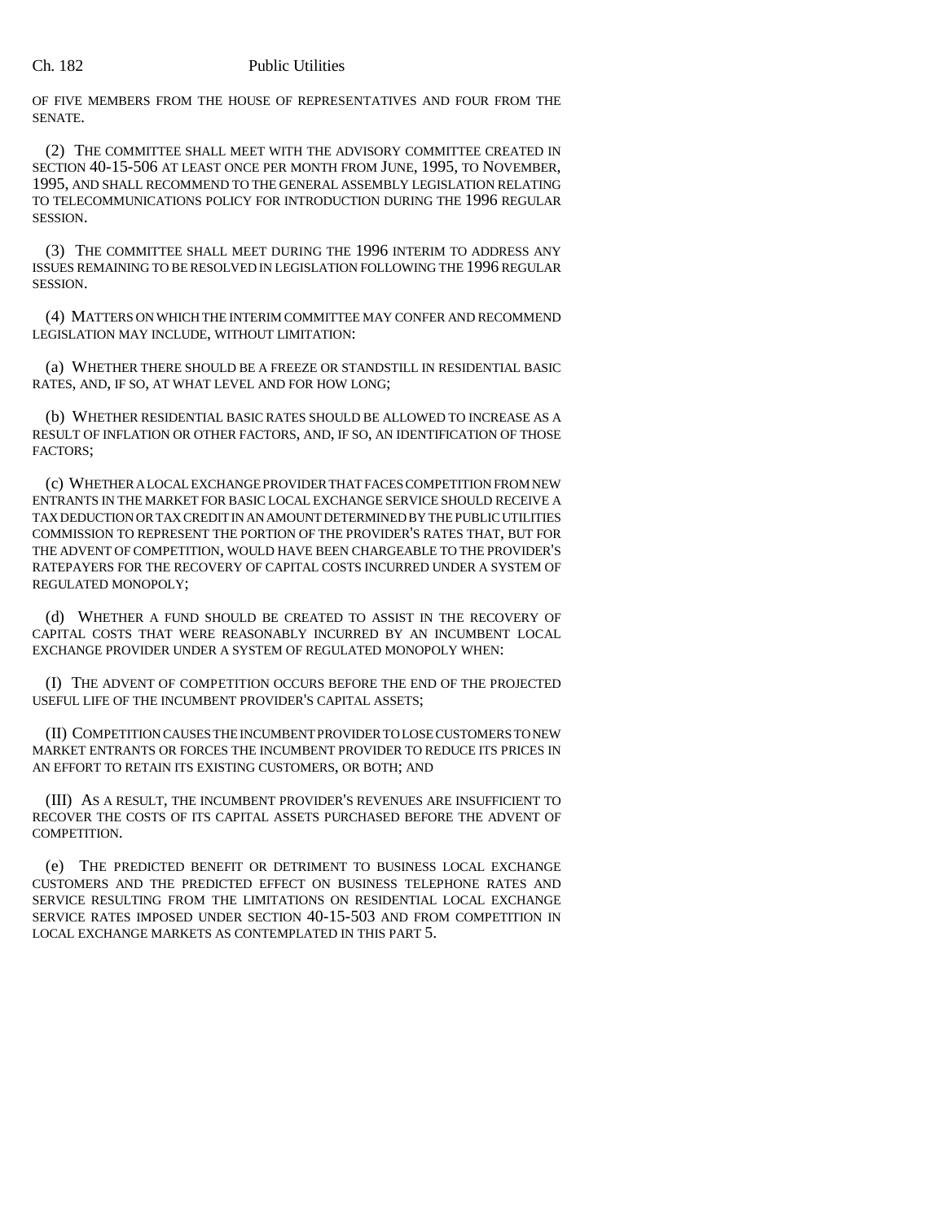OF FIVE MEMBERS FROM THE HOUSE OF REPRESENTATIVES AND FOUR FROM THE SENATE.

(2) THE COMMITTEE SHALL MEET WITH THE ADVISORY COMMITTEE CREATED IN SECTION 40-15-506 AT LEAST ONCE PER MONTH FROM JUNE, 1995, TO NOVEMBER, 1995, AND SHALL RECOMMEND TO THE GENERAL ASSEMBLY LEGISLATION RELATING TO TELECOMMUNICATIONS POLICY FOR INTRODUCTION DURING THE 1996 REGULAR **SESSION** 

(3) THE COMMITTEE SHALL MEET DURING THE 1996 INTERIM TO ADDRESS ANY ISSUES REMAINING TO BE RESOLVED IN LEGISLATION FOLLOWING THE 1996 REGULAR SESSION.

(4) MATTERS ON WHICH THE INTERIM COMMITTEE MAY CONFER AND RECOMMEND LEGISLATION MAY INCLUDE, WITHOUT LIMITATION:

(a) WHETHER THERE SHOULD BE A FREEZE OR STANDSTILL IN RESIDENTIAL BASIC RATES, AND, IF SO, AT WHAT LEVEL AND FOR HOW LONG;

(b) WHETHER RESIDENTIAL BASIC RATES SHOULD BE ALLOWED TO INCREASE AS A RESULT OF INFLATION OR OTHER FACTORS, AND, IF SO, AN IDENTIFICATION OF THOSE FACTORS;

(c) WHETHER A LOCAL EXCHANGE PROVIDER THAT FACES COMPETITION FROM NEW ENTRANTS IN THE MARKET FOR BASIC LOCAL EXCHANGE SERVICE SHOULD RECEIVE A TAX DEDUCTION OR TAX CREDIT IN AN AMOUNT DETERMINED BY THE PUBLIC UTILITIES COMMISSION TO REPRESENT THE PORTION OF THE PROVIDER'S RATES THAT, BUT FOR THE ADVENT OF COMPETITION, WOULD HAVE BEEN CHARGEABLE TO THE PROVIDER'S RATEPAYERS FOR THE RECOVERY OF CAPITAL COSTS INCURRED UNDER A SYSTEM OF REGULATED MONOPOLY;

(d) WHETHER A FUND SHOULD BE CREATED TO ASSIST IN THE RECOVERY OF CAPITAL COSTS THAT WERE REASONABLY INCURRED BY AN INCUMBENT LOCAL EXCHANGE PROVIDER UNDER A SYSTEM OF REGULATED MONOPOLY WHEN:

(I) THE ADVENT OF COMPETITION OCCURS BEFORE THE END OF THE PROJECTED USEFUL LIFE OF THE INCUMBENT PROVIDER'S CAPITAL ASSETS;

(II) COMPETITION CAUSES THE INCUMBENT PROVIDER TO LOSE CUSTOMERS TO NEW MARKET ENTRANTS OR FORCES THE INCUMBENT PROVIDER TO REDUCE ITS PRICES IN AN EFFORT TO RETAIN ITS EXISTING CUSTOMERS, OR BOTH; AND

(III) AS A RESULT, THE INCUMBENT PROVIDER'S REVENUES ARE INSUFFICIENT TO RECOVER THE COSTS OF ITS CAPITAL ASSETS PURCHASED BEFORE THE ADVENT OF COMPETITION.

(e) THE PREDICTED BENEFIT OR DETRIMENT TO BUSINESS LOCAL EXCHANGE CUSTOMERS AND THE PREDICTED EFFECT ON BUSINESS TELEPHONE RATES AND SERVICE RESULTING FROM THE LIMITATIONS ON RESIDENTIAL LOCAL EXCHANGE SERVICE RATES IMPOSED UNDER SECTION 40-15-503 AND FROM COMPETITION IN LOCAL EXCHANGE MARKETS AS CONTEMPLATED IN THIS PART 5.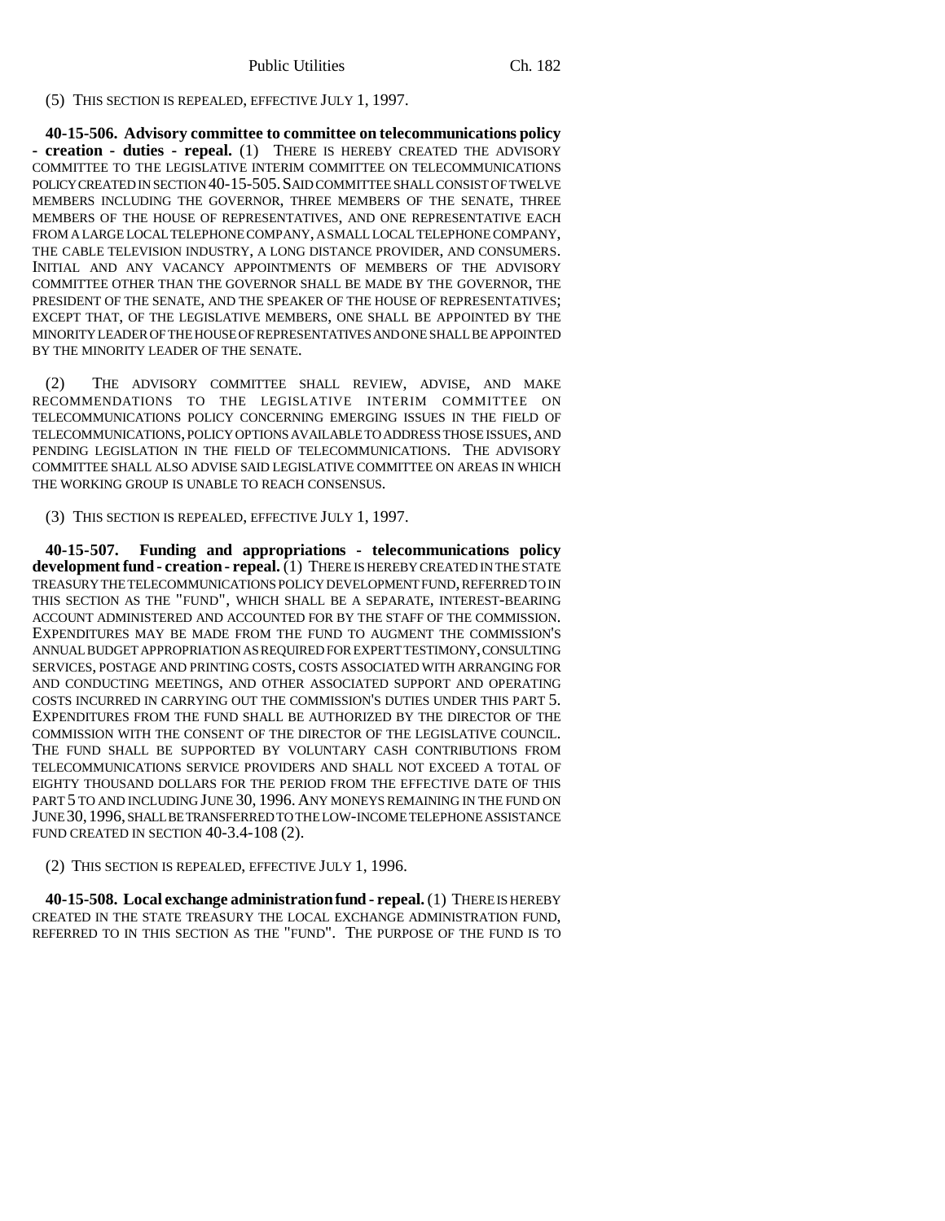(5) THIS SECTION IS REPEALED, EFFECTIVE JULY 1, 1997.

**40-15-506. Advisory committee to committee on telecommunications policy - creation - duties - repeal.** (1) THERE IS HEREBY CREATED THE ADVISORY COMMITTEE TO THE LEGISLATIVE INTERIM COMMITTEE ON TELECOMMUNICATIONS POLICY CREATED IN SECTION 40-15-505.SAID COMMITTEE SHALL CONSIST OF TWELVE MEMBERS INCLUDING THE GOVERNOR, THREE MEMBERS OF THE SENATE, THREE MEMBERS OF THE HOUSE OF REPRESENTATIVES, AND ONE REPRESENTATIVE EACH FROM A LARGE LOCAL TELEPHONE COMPANY, A SMALL LOCAL TELEPHONE COMPANY, THE CABLE TELEVISION INDUSTRY, A LONG DISTANCE PROVIDER, AND CONSUMERS. INITIAL AND ANY VACANCY APPOINTMENTS OF MEMBERS OF THE ADVISORY COMMITTEE OTHER THAN THE GOVERNOR SHALL BE MADE BY THE GOVERNOR, THE PRESIDENT OF THE SENATE, AND THE SPEAKER OF THE HOUSE OF REPRESENTATIVES; EXCEPT THAT, OF THE LEGISLATIVE MEMBERS, ONE SHALL BE APPOINTED BY THE MINORITY LEADER OF THE HOUSE OF REPRESENTATIVES AND ONE SHALL BE APPOINTED BY THE MINORITY LEADER OF THE SENATE.

(2) THE ADVISORY COMMITTEE SHALL REVIEW, ADVISE, AND MAKE RECOMMENDATIONS TO THE LEGISLATIVE INTERIM COMMITTEE ON TELECOMMUNICATIONS POLICY CONCERNING EMERGING ISSUES IN THE FIELD OF TELECOMMUNICATIONS, POLICY OPTIONS AVAILABLE TO ADDRESS THOSE ISSUES, AND PENDING LEGISLATION IN THE FIELD OF TELECOMMUNICATIONS. THE ADVISORY COMMITTEE SHALL ALSO ADVISE SAID LEGISLATIVE COMMITTEE ON AREAS IN WHICH THE WORKING GROUP IS UNABLE TO REACH CONSENSUS.

(3) THIS SECTION IS REPEALED, EFFECTIVE JULY 1, 1997.

**40-15-507. Funding and appropriations - telecommunications policy** development fund - creation - repeal. (1) THERE IS HEREBY CREATED IN THE STATE TREASURY THE TELECOMMUNICATIONS POLICY DEVELOPMENT FUND, REFERRED TO IN THIS SECTION AS THE "FUND", WHICH SHALL BE A SEPARATE, INTEREST-BEARING ACCOUNT ADMINISTERED AND ACCOUNTED FOR BY THE STAFF OF THE COMMISSION. EXPENDITURES MAY BE MADE FROM THE FUND TO AUGMENT THE COMMISSION'S ANNUAL BUDGET APPROPRIATION AS REQUIRED FOR EXPERT TESTIMONY, CONSULTING SERVICES, POSTAGE AND PRINTING COSTS, COSTS ASSOCIATED WITH ARRANGING FOR AND CONDUCTING MEETINGS, AND OTHER ASSOCIATED SUPPORT AND OPERATING COSTS INCURRED IN CARRYING OUT THE COMMISSION'S DUTIES UNDER THIS PART 5. EXPENDITURES FROM THE FUND SHALL BE AUTHORIZED BY THE DIRECTOR OF THE COMMISSION WITH THE CONSENT OF THE DIRECTOR OF THE LEGISLATIVE COUNCIL. THE FUND SHALL BE SUPPORTED BY VOLUNTARY CASH CONTRIBUTIONS FROM TELECOMMUNICATIONS SERVICE PROVIDERS AND SHALL NOT EXCEED A TOTAL OF EIGHTY THOUSAND DOLLARS FOR THE PERIOD FROM THE EFFECTIVE DATE OF THIS PART 5 TO AND INCLUDING JUNE 30, 1996. ANY MONEYS REMAINING IN THE FUND ON JUNE 30,1996, SHALL BE TRANSFERRED TO THE LOW-INCOME TELEPHONE ASSISTANCE FUND CREATED IN SECTION 40-3.4-108 (2).

(2) THIS SECTION IS REPEALED, EFFECTIVE JULY 1, 1996.

**40-15-508. Local exchange administration fund - repeal.** (1) THERE IS HEREBY CREATED IN THE STATE TREASURY THE LOCAL EXCHANGE ADMINISTRATION FUND, REFERRED TO IN THIS SECTION AS THE "FUND". THE PURPOSE OF THE FUND IS TO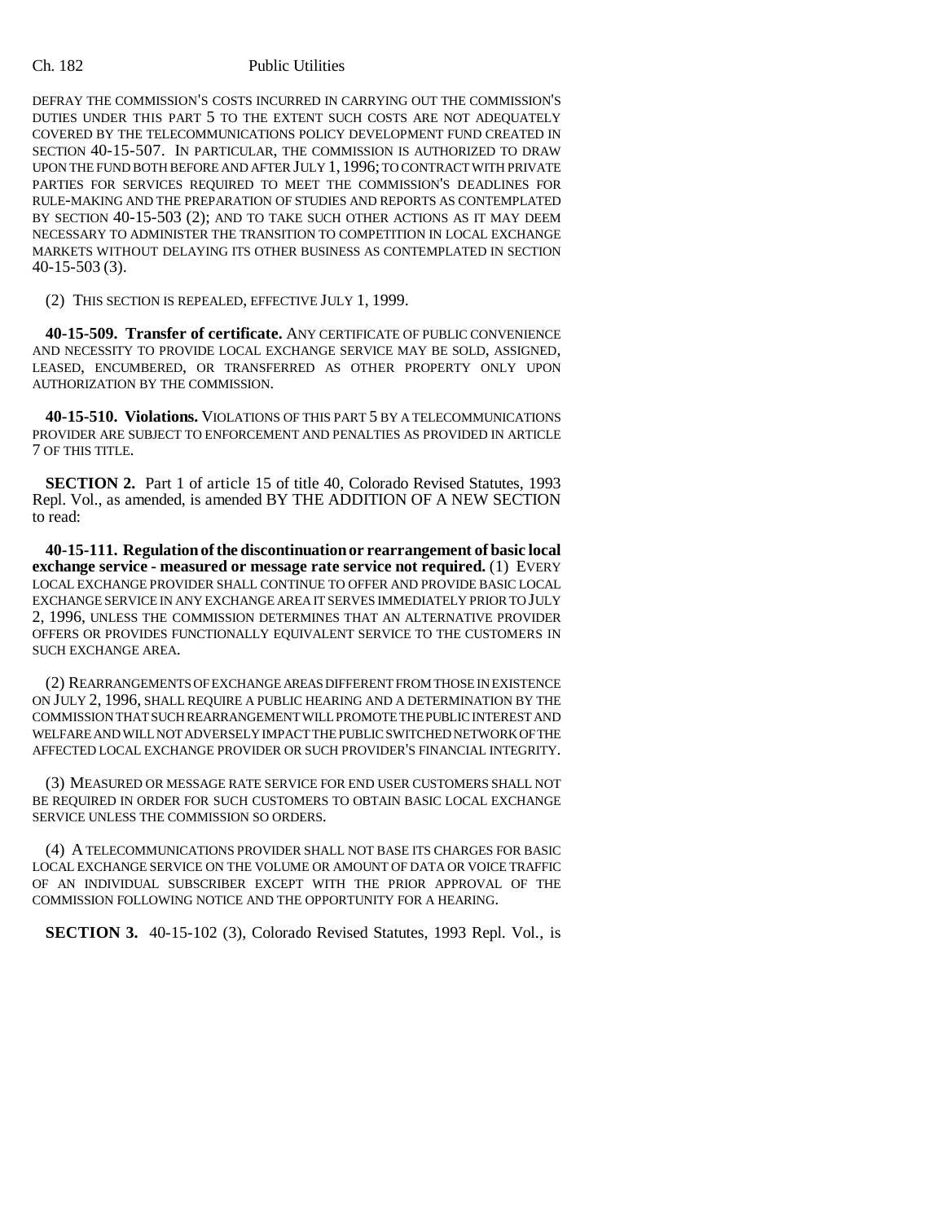DEFRAY THE COMMISSION'S COSTS INCURRED IN CARRYING OUT THE COMMISSION'S DUTIES UNDER THIS PART 5 TO THE EXTENT SUCH COSTS ARE NOT ADEQUATELY COVERED BY THE TELECOMMUNICATIONS POLICY DEVELOPMENT FUND CREATED IN SECTION 40-15-507. IN PARTICULAR, THE COMMISSION IS AUTHORIZED TO DRAW UPON THE FUND BOTH BEFORE AND AFTER JULY 1, 1996; TO CONTRACT WITH PRIVATE PARTIES FOR SERVICES REQUIRED TO MEET THE COMMISSION'S DEADLINES FOR RULE-MAKING AND THE PREPARATION OF STUDIES AND REPORTS AS CONTEMPLATED BY SECTION 40-15-503 (2); AND TO TAKE SUCH OTHER ACTIONS AS IT MAY DEEM NECESSARY TO ADMINISTER THE TRANSITION TO COMPETITION IN LOCAL EXCHANGE MARKETS WITHOUT DELAYING ITS OTHER BUSINESS AS CONTEMPLATED IN SECTION 40-15-503 (3).

(2) THIS SECTION IS REPEALED, EFFECTIVE JULY 1, 1999.

**40-15-509. Transfer of certificate.** ANY CERTIFICATE OF PUBLIC CONVENIENCE AND NECESSITY TO PROVIDE LOCAL EXCHANGE SERVICE MAY BE SOLD, ASSIGNED, LEASED, ENCUMBERED, OR TRANSFERRED AS OTHER PROPERTY ONLY UPON AUTHORIZATION BY THE COMMISSION.

**40-15-510. Violations.** VIOLATIONS OF THIS PART 5 BY A TELECOMMUNICATIONS PROVIDER ARE SUBJECT TO ENFORCEMENT AND PENALTIES AS PROVIDED IN ARTICLE 7 OF THIS TITLE.

**SECTION 2.** Part 1 of article 15 of title 40, Colorado Revised Statutes, 1993 Repl. Vol., as amended, is amended BY THE ADDITION OF A NEW SECTION to read:

**40-15-111. Regulation of the discontinuation or rearrangement of basic local exchange service - measured or message rate service not required.** (1) EVERY LOCAL EXCHANGE PROVIDER SHALL CONTINUE TO OFFER AND PROVIDE BASIC LOCAL EXCHANGE SERVICE IN ANY EXCHANGE AREA IT SERVES IMMEDIATELY PRIOR TO JULY 2, 1996, UNLESS THE COMMISSION DETERMINES THAT AN ALTERNATIVE PROVIDER OFFERS OR PROVIDES FUNCTIONALLY EQUIVALENT SERVICE TO THE CUSTOMERS IN SUCH EXCHANGE AREA.

(2) REARRANGEMENTS OF EXCHANGE AREAS DIFFERENT FROM THOSE IN EXISTENCE ON JULY 2, 1996, SHALL REQUIRE A PUBLIC HEARING AND A DETERMINATION BY THE COMMISSION THAT SUCH REARRANGEMENT WILL PROMOTE THE PUBLIC INTEREST AND WELFARE AND WILL NOT ADVERSELY IMPACT THE PUBLIC SWITCHED NETWORK OF THE AFFECTED LOCAL EXCHANGE PROVIDER OR SUCH PROVIDER'S FINANCIAL INTEGRITY.

(3) MEASURED OR MESSAGE RATE SERVICE FOR END USER CUSTOMERS SHALL NOT BE REQUIRED IN ORDER FOR SUCH CUSTOMERS TO OBTAIN BASIC LOCAL EXCHANGE SERVICE UNLESS THE COMMISSION SO ORDERS.

(4) A TELECOMMUNICATIONS PROVIDER SHALL NOT BASE ITS CHARGES FOR BASIC LOCAL EXCHANGE SERVICE ON THE VOLUME OR AMOUNT OF DATA OR VOICE TRAFFIC OF AN INDIVIDUAL SUBSCRIBER EXCEPT WITH THE PRIOR APPROVAL OF THE COMMISSION FOLLOWING NOTICE AND THE OPPORTUNITY FOR A HEARING.

**SECTION 3.** 40-15-102 (3), Colorado Revised Statutes, 1993 Repl. Vol., is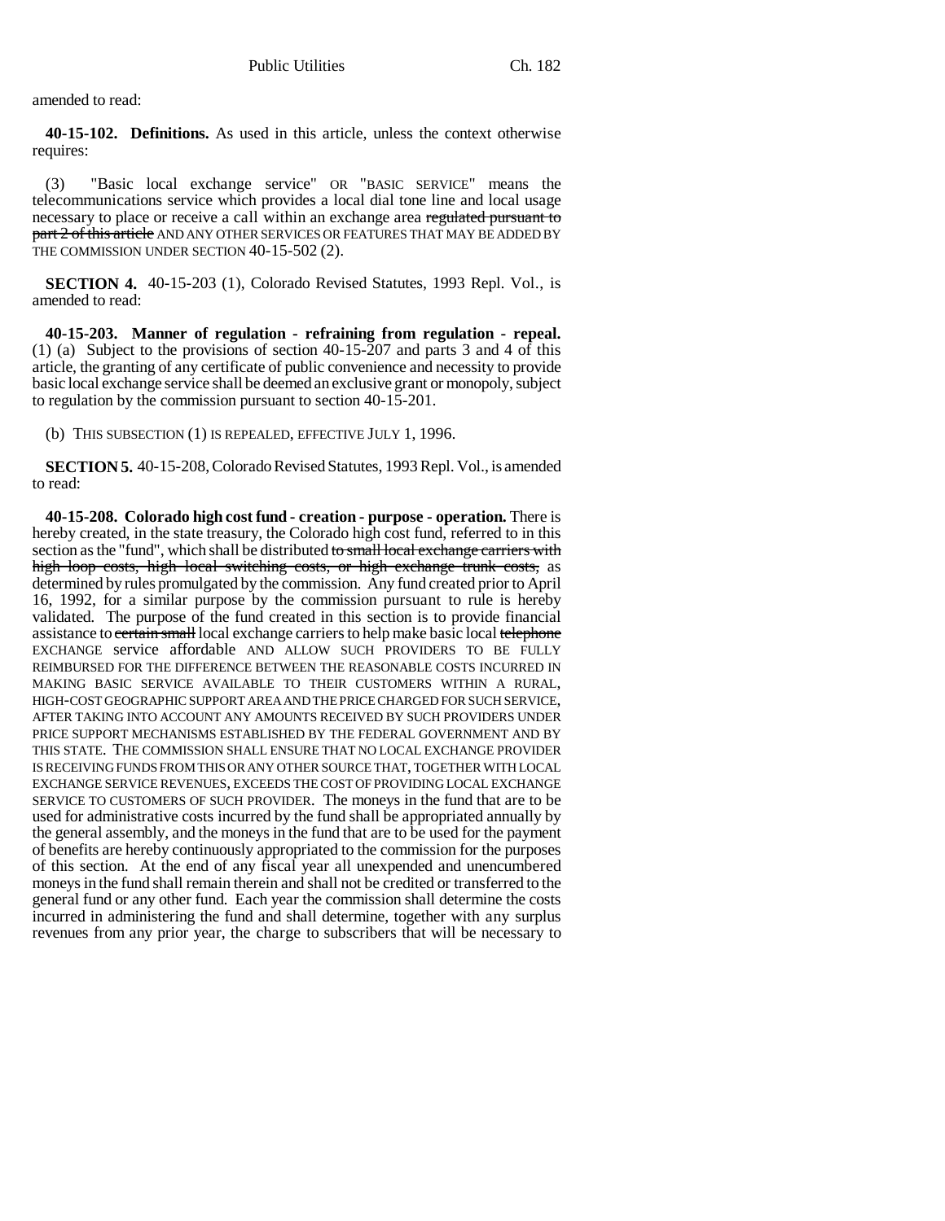amended to read:

**40-15-102. Definitions.** As used in this article, unless the context otherwise requires:

(3) "Basic local exchange service" OR "BASIC SERVICE" means the telecommunications service which provides a local dial tone line and local usage necessary to place or receive a call within an exchange area regulated pursuant to part 2 of this article AND ANY OTHER SERVICES OR FEATURES THAT MAY BE ADDED BY THE COMMISSION UNDER SECTION 40-15-502 (2).

**SECTION 4.** 40-15-203 (1), Colorado Revised Statutes, 1993 Repl. Vol., is amended to read:

**40-15-203. Manner of regulation - refraining from regulation - repeal.** (1) (a) Subject to the provisions of section 40-15-207 and parts 3 and 4 of this article, the granting of any certificate of public convenience and necessity to provide basic local exchange service shall be deemed an exclusive grant or monopoly, subject to regulation by the commission pursuant to section 40-15-201.

(b) THIS SUBSECTION (1) IS REPEALED, EFFECTIVE JULY 1, 1996.

**SECTION 5.** 40-15-208, Colorado Revised Statutes, 1993 Repl. Vol., is amended to read:

**40-15-208. Colorado high cost fund - creation - purpose - operation.** There is hereby created, in the state treasury, the Colorado high cost fund, referred to in this section as the "fund", which shall be distributed to small local exchange carriers with high loop costs, high local switching costs, or high exchange trunk costs, as determined by rules promulgated by the commission. Any fund created prior to April 16, 1992, for a similar purpose by the commission pursuant to rule is hereby validated. The purpose of the fund created in this section is to provide financial assistance to certain small local exchange carriers to help make basic local telephone EXCHANGE service affordable AND ALLOW SUCH PROVIDERS TO BE FULLY REIMBURSED FOR THE DIFFERENCE BETWEEN THE REASONABLE COSTS INCURRED IN MAKING BASIC SERVICE AVAILABLE TO THEIR CUSTOMERS WITHIN A RURAL, HIGH-COST GEOGRAPHIC SUPPORT AREA AND THE PRICE CHARGED FOR SUCH SERVICE, AFTER TAKING INTO ACCOUNT ANY AMOUNTS RECEIVED BY SUCH PROVIDERS UNDER PRICE SUPPORT MECHANISMS ESTABLISHED BY THE FEDERAL GOVERNMENT AND BY THIS STATE. THE COMMISSION SHALL ENSURE THAT NO LOCAL EXCHANGE PROVIDER IS RECEIVING FUNDS FROM THIS OR ANY OTHER SOURCE THAT, TOGETHER WITH LOCAL EXCHANGE SERVICE REVENUES, EXCEEDS THE COST OF PROVIDING LOCAL EXCHANGE SERVICE TO CUSTOMERS OF SUCH PROVIDER. The moneys in the fund that are to be used for administrative costs incurred by the fund shall be appropriated annually by the general assembly, and the moneys in the fund that are to be used for the payment of benefits are hereby continuously appropriated to the commission for the purposes of this section. At the end of any fiscal year all unexpended and unencumbered moneys in the fund shall remain therein and shall not be credited or transferred to the general fund or any other fund. Each year the commission shall determine the costs incurred in administering the fund and shall determine, together with any surplus revenues from any prior year, the charge to subscribers that will be necessary to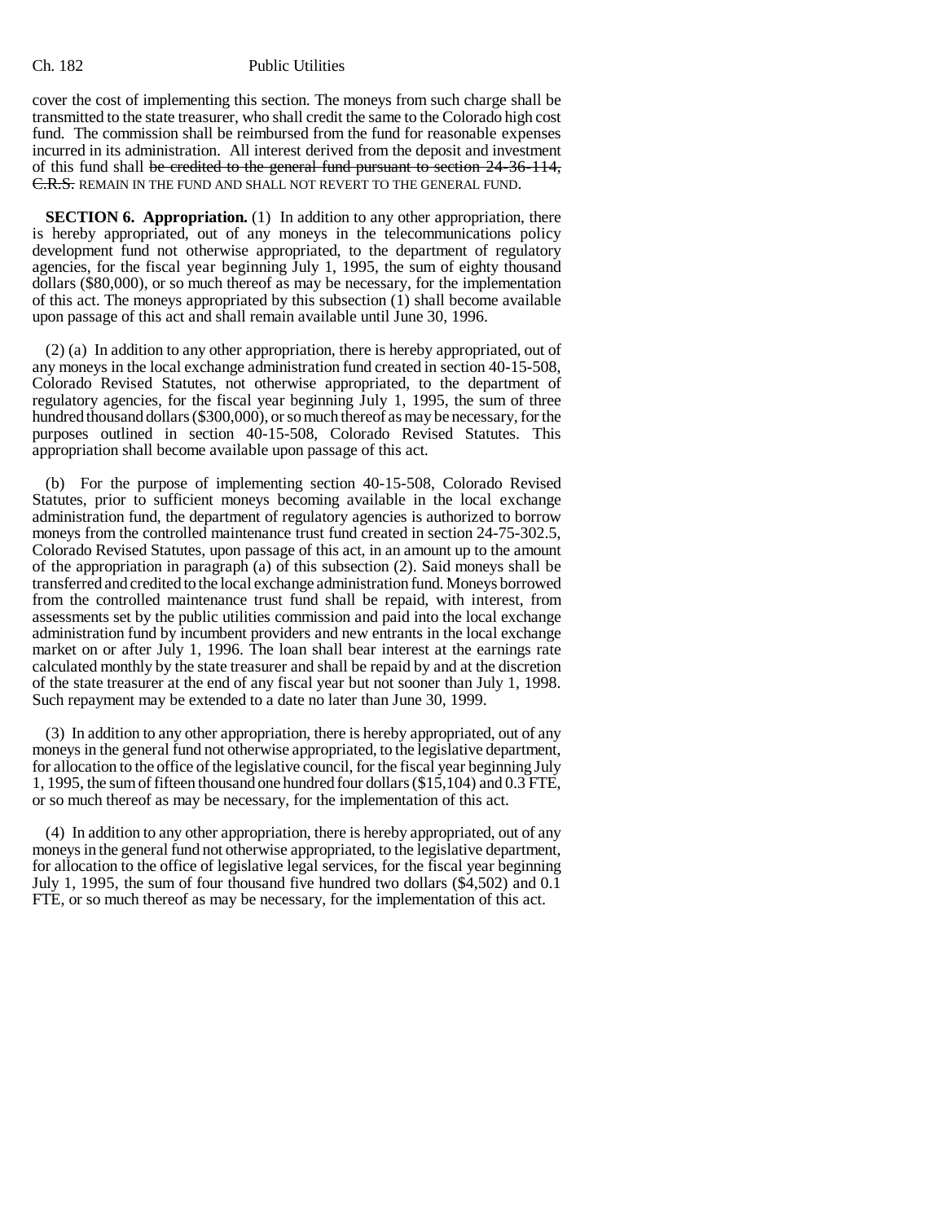cover the cost of implementing this section. The moneys from such charge shall be transmitted to the state treasurer, who shall credit the same to the Colorado high cost fund. The commission shall be reimbursed from the fund for reasonable expenses incurred in its administration. All interest derived from the deposit and investment of this fund shall be credited to the general fund pursuant to section 24-36-114, C.R.S. REMAIN IN THE FUND AND SHALL NOT REVERT TO THE GENERAL FUND.

**SECTION 6. Appropriation.** (1) In addition to any other appropriation, there is hereby appropriated, out of any moneys in the telecommunications policy development fund not otherwise appropriated, to the department of regulatory agencies, for the fiscal year beginning July 1, 1995, the sum of eighty thousand dollars (\$80,000), or so much thereof as may be necessary, for the implementation of this act. The moneys appropriated by this subsection (1) shall become available upon passage of this act and shall remain available until June 30, 1996.

(2) (a) In addition to any other appropriation, there is hereby appropriated, out of any moneys in the local exchange administration fund created in section 40-15-508, Colorado Revised Statutes, not otherwise appropriated, to the department of regulatory agencies, for the fiscal year beginning July 1, 1995, the sum of three hundred thousand dollars (\$300,000), or so much thereof as may be necessary, for the purposes outlined in section 40-15-508, Colorado Revised Statutes. This appropriation shall become available upon passage of this act.

(b) For the purpose of implementing section 40-15-508, Colorado Revised Statutes, prior to sufficient moneys becoming available in the local exchange administration fund, the department of regulatory agencies is authorized to borrow moneys from the controlled maintenance trust fund created in section 24-75-302.5, Colorado Revised Statutes, upon passage of this act, in an amount up to the amount of the appropriation in paragraph (a) of this subsection (2). Said moneys shall be transferred and credited to the local exchange administration fund. Moneys borrowed from the controlled maintenance trust fund shall be repaid, with interest, from assessments set by the public utilities commission and paid into the local exchange administration fund by incumbent providers and new entrants in the local exchange market on or after July 1, 1996. The loan shall bear interest at the earnings rate calculated monthly by the state treasurer and shall be repaid by and at the discretion of the state treasurer at the end of any fiscal year but not sooner than July 1, 1998. Such repayment may be extended to a date no later than June 30, 1999.

(3) In addition to any other appropriation, there is hereby appropriated, out of any moneys in the general fund not otherwise appropriated, to the legislative department, for allocation to the office of the legislative council, for the fiscal year beginning July 1, 1995, the sum of fifteen thousand one hundred four dollars (\$15,104) and 0.3 FTE, or so much thereof as may be necessary, for the implementation of this act.

(4) In addition to any other appropriation, there is hereby appropriated, out of any moneys in the general fund not otherwise appropriated, to the legislative department, for allocation to the office of legislative legal services, for the fiscal year beginning July 1, 1995, the sum of four thousand five hundred two dollars (\$4,502) and 0.1 FTE, or so much thereof as may be necessary, for the implementation of this act.